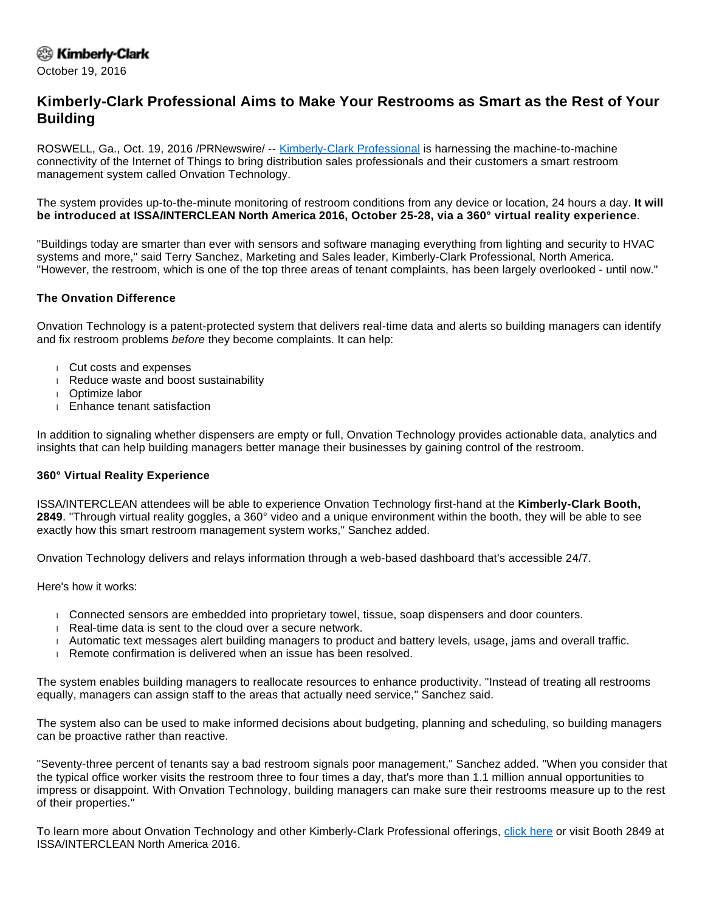## <sup>②</sup> Kimberly-Clark

October 19, 2016

# **Kimberly-Clark Professional Aims to Make Your Restrooms as Smart as the Rest of Your Building**

ROSWELL, Ga., Oct. 19, 2016 /PRNewswire/ -- [Kimberly-Clark Professional](http://www.kcprofessional.com/home) is harnessing the machine-to-machine connectivity of the Internet of Things to bring distribution sales professionals and their customers a smart restroom management system called Onvation Technology.

The system provides up-to-the-minute monitoring of restroom conditions from any device or location, 24 hours a day. **It will be introduced at ISSA/INTERCLEAN North America 2016, October 25-28, via a 360° virtual reality experience**.

"Buildings today are smarter than ever with sensors and software managing everything from lighting and security to HVAC systems and more," said Terry Sanchez, Marketing and Sales leader, Kimberly-Clark Professional, North America. "However, the restroom, which is one of the top three areas of tenant complaints, has been largely overlooked - until now."

## **The Onvation Difference**

Onvation Technology is a patent-protected system that delivers real-time data and alerts so building managers can identify and fix restroom problems before they become complaints. It can help:

- Cut costs and expenses
- Reduce waste and boost sustainability
- Optimize labor
- Enhance tenant satisfaction

In addition to signaling whether dispensers are empty or full, Onvation Technology provides actionable data, analytics and insights that can help building managers better manage their businesses by gaining control of the restroom.

#### **360° Virtual Reality Experience**

ISSA/INTERCLEAN attendees will be able to experience Onvation Technology first-hand at the **Kimberly-Clark Booth, 2849**. "Through virtual reality goggles, a 360° video and a unique environment within the booth, they will be able to see exactly how this smart restroom management system works," Sanchez added.

Onvation Technology delivers and relays information through a web-based dashboard that's accessible 24/7.

Here's how it works:

- Connected sensors are embedded into proprietary towel, tissue, soap dispensers and door counters.
- Real-time data is sent to the cloud over a secure network.
- Automatic text messages alert building managers to product and battery levels, usage, jams and overall traffic.
- Remote confirmation is delivered when an issue has been resolved.

The system enables building managers to reallocate resources to enhance productivity. "Instead of treating all restrooms equally, managers can assign staff to the areas that actually need service," Sanchez said.

The system also can be used to make informed decisions about budgeting, planning and scheduling, so building managers can be proactive rather than reactive.

"Seventy-three percent of tenants say a bad restroom signals poor management," Sanchez added. "When you consider that the typical office worker visits the restroom three to four times a day, that's more than 1.1 million annual opportunities to impress or disappoint. With Onvation Technology, building managers can make sure their restrooms measure up to the rest of their properties."

To learn more about Onvation Technology and other Kimberly-Clark Professional offerings, [click here](http://www.kcprofessional.com/onvation) or visit Booth 2849 at ISSA/INTERCLEAN North America 2016.